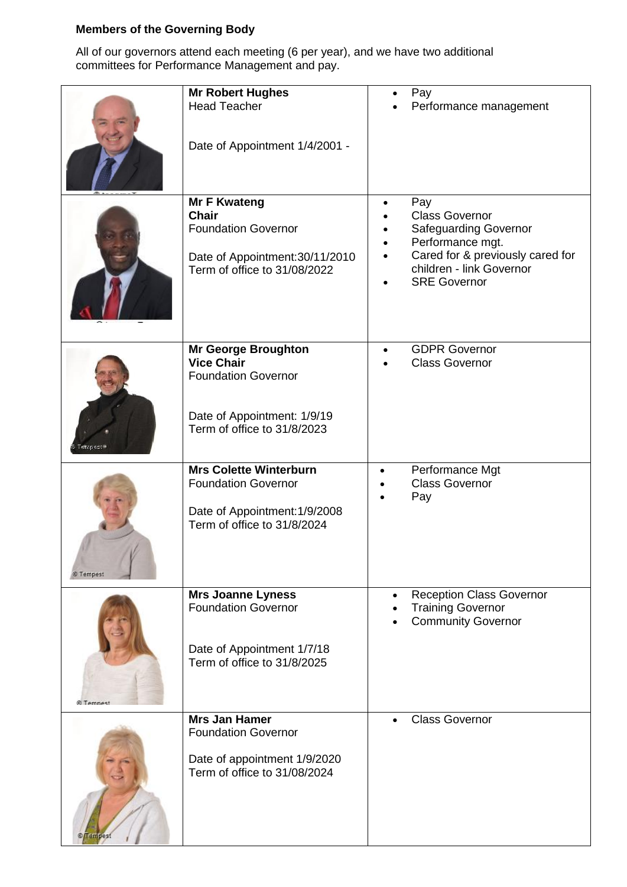## **Members of the Governing Body**

All of our governors attend each meeting (6 per year), and we have two additional committees for Performance Management and pay.

|                     | <b>Mr Robert Hughes</b><br><b>Head Teacher</b><br>Date of Appointment 1/4/2001 -                                                     | Pay<br>Performance management                                                                                                                                           |
|---------------------|--------------------------------------------------------------------------------------------------------------------------------------|-------------------------------------------------------------------------------------------------------------------------------------------------------------------------|
|                     | <b>Mr F Kwateng</b><br><b>Chair</b><br><b>Foundation Governor</b><br>Date of Appointment: 30/11/2010<br>Term of office to 31/08/2022 | Pay<br><b>Class Governor</b><br><b>Safeguarding Governor</b><br>Performance mgt.<br>Cared for & previously cared for<br>children - link Governor<br><b>SRE Governor</b> |
|                     | Mr George Broughton<br><b>Vice Chair</b><br><b>Foundation Governor</b><br>Date of Appointment: 1/9/19<br>Term of office to 31/8/2023 | <b>GDPR Governor</b><br><b>Class Governor</b>                                                                                                                           |
| © Tempest           | <b>Mrs Colette Winterburn</b><br><b>Foundation Governor</b><br>Date of Appointment: 1/9/2008<br>Term of office to 31/8/2024          | Performance Mgt<br>$\bullet$<br><b>Class Governor</b><br>Pay                                                                                                            |
| <b>&amp; Temnes</b> | <b>Mrs Joanne Lyness</b><br><b>Foundation Governor</b><br>Date of Appointment 1/7/18<br>Term of office to 31/8/2025                  | <b>Reception Class Governor</b><br>$\bullet$<br><b>Training Governor</b><br><b>Community Governor</b>                                                                   |
|                     | <b>Mrs Jan Hamer</b><br><b>Foundation Governor</b><br>Date of appointment 1/9/2020<br>Term of office to 31/08/2024                   | <b>Class Governor</b><br>$\bullet$                                                                                                                                      |